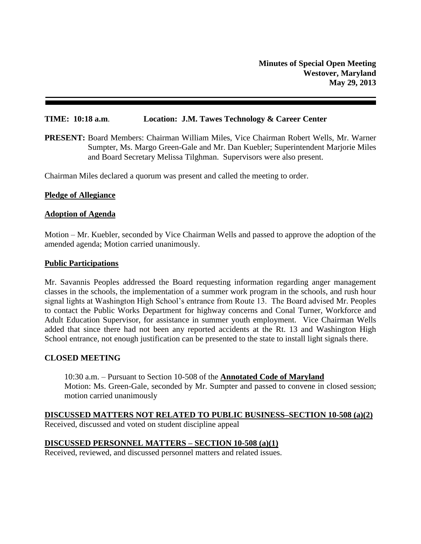## **TIME: 10:18 a.m**. **Location: J.M. Tawes Technology & Career Center**

**PRESENT:** Board Members: Chairman William Miles, Vice Chairman Robert Wells, Mr. Warner Sumpter, Ms. Margo Green-Gale and Mr. Dan Kuebler; Superintendent Marjorie Miles and Board Secretary Melissa Tilghman. Supervisors were also present.

Chairman Miles declared a quorum was present and called the meeting to order.

### **Pledge of Allegiance**

### **Adoption of Agenda**

Motion – Mr. Kuebler, seconded by Vice Chairman Wells and passed to approve the adoption of the amended agenda; Motion carried unanimously.

### **Public Participations**

Mr. Savannis Peoples addressed the Board requesting information regarding anger management classes in the schools, the implementation of a summer work program in the schools, and rush hour signal lights at Washington High School's entrance from Route 13. The Board advised Mr. Peoples to contact the Public Works Department for highway concerns and Conal Turner, Workforce and Adult Education Supervisor, for assistance in summer youth employment. Vice Chairman Wells added that since there had not been any reported accidents at the Rt. 13 and Washington High School entrance, not enough justification can be presented to the state to install light signals there.

## **CLOSED MEETING**

10:30 a.m. – Pursuant to Section 10-508 of the **Annotated Code of Maryland** Motion: Ms. Green-Gale, seconded by Mr. Sumpter and passed to convene in closed session; motion carried unanimously

# **DISCUSSED MATTERS NOT RELATED TO PUBLIC BUSINESS–SECTION 10-508 (a)(2)**

Received, discussed and voted on student discipline appeal

## **DISCUSSED PERSONNEL MATTERS – SECTION 10-508 (a)(1)**

Received, reviewed, and discussed personnel matters and related issues.